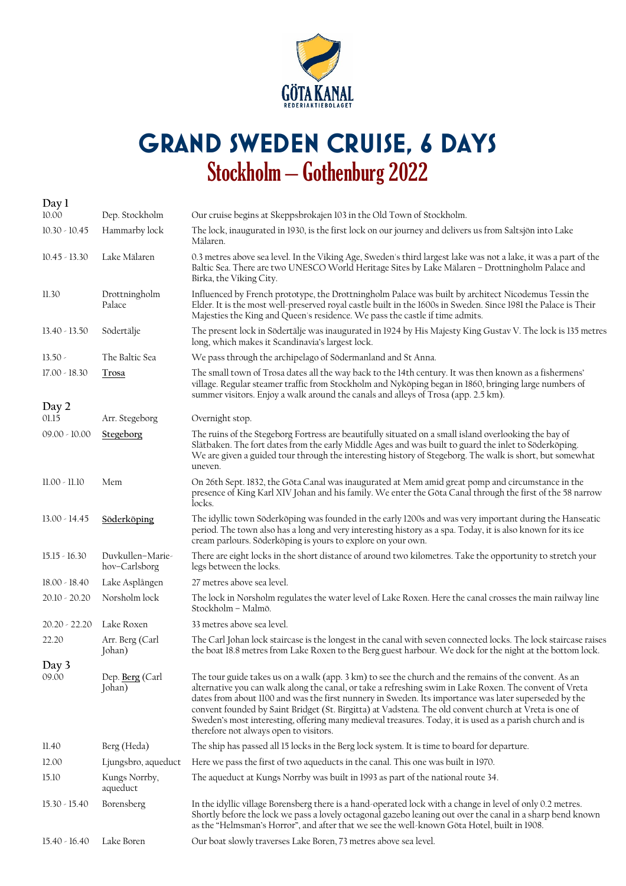

## **Grand Sweden Cruise, 6 days**  Stockholm – Gothenburg 2022

| Day 1           |                                   |                                                                                                                                                                                                                                                                                                                                                                                                                                                                                                                                                                                           |
|-----------------|-----------------------------------|-------------------------------------------------------------------------------------------------------------------------------------------------------------------------------------------------------------------------------------------------------------------------------------------------------------------------------------------------------------------------------------------------------------------------------------------------------------------------------------------------------------------------------------------------------------------------------------------|
| 10.00           | Dep. Stockholm                    | Our cruise begins at Skeppsbrokajen 103 in the Old Town of Stockholm.                                                                                                                                                                                                                                                                                                                                                                                                                                                                                                                     |
| $10.30 - 10.45$ | Hammarby lock                     | The lock, inaugurated in 1930, is the first lock on our journey and delivers us from Saltsjön into Lake<br>Mälaren.                                                                                                                                                                                                                                                                                                                                                                                                                                                                       |
| $10.45 - 13.30$ | Lake Mälaren                      | 0.3 metres above sea level. In the Viking Age, Sweden's third largest lake was not a lake, it was a part of the<br>Baltic Sea. There are two UNESCO World Heritage Sites by Lake Mälaren - Drottningholm Palace and<br>Birka, the Viking City.                                                                                                                                                                                                                                                                                                                                            |
| 11.30           | Drottningholm<br>Palace           | Influenced by French prototype, the Drottningholm Palace was built by architect Nicodemus Tessin the<br>Elder. It is the most well-preserved royal castle built in the 1600s in Sweden. Since 1981 the Palace is Their<br>Majesties the King and Queen's residence. We pass the castle if time admits.                                                                                                                                                                                                                                                                                    |
| $13.40 - 13.50$ | Södertälje                        | The present lock in Södertälje was inaugurated in 1924 by His Majesty King Gustav V. The lock is 135 metres<br>long, which makes it Scandinavia's largest lock.                                                                                                                                                                                                                                                                                                                                                                                                                           |
| $13.50 -$       | The Baltic Sea                    | We pass through the archipelago of Södermanland and St Anna.                                                                                                                                                                                                                                                                                                                                                                                                                                                                                                                              |
| 17.00 - 18.30   | Trosa                             | The small town of Trosa dates all the way back to the 14th century. It was then known as a fishermens'<br>village. Regular steamer traffic from Stockholm and Nyköping began in 1860, bringing large numbers of<br>summer visitors. Enjoy a walk around the canals and alleys of Trosa (app. 2.5 km).                                                                                                                                                                                                                                                                                     |
| Day 2           |                                   |                                                                                                                                                                                                                                                                                                                                                                                                                                                                                                                                                                                           |
| 01.15           | Arr. Stegeborg                    | Overnight stop.                                                                                                                                                                                                                                                                                                                                                                                                                                                                                                                                                                           |
| $09.00 - 10.00$ | Stegeborg                         | The ruins of the Stegeborg Fortress are beautifully situated on a small island overlooking the bay of<br>Slätbaken. The fort dates from the early Middle Ages and was built to guard the inlet to Söderköping.<br>We are given a guided tour through the interesting history of Stegeborg. The walk is short, but somewhat<br>uneven.                                                                                                                                                                                                                                                     |
| 11.00 - 11.10   | Mem                               | On 26th Sept. 1832, the Göta Canal was inaugurated at Mem amid great pomp and circumstance in the<br>presence of King Karl XIV Johan and his family. We enter the Göta Canal through the first of the 58 narrow<br>locks.                                                                                                                                                                                                                                                                                                                                                                 |
| $13.00 - 14.45$ | Söderköping                       | The idyllic town Söderköping was founded in the early 1200s and was very important during the Hanseatic<br>period. The town also has a long and very interesting history as a spa. Today, it is also known for its ice<br>cream parlours. Söderköping is yours to explore on your own.                                                                                                                                                                                                                                                                                                    |
| $15.15 - 16.30$ | Duvkullen-Marie-<br>hov-Carlsborg | There are eight locks in the short distance of around two kilometres. Take the opportunity to stretch your<br>legs between the locks.                                                                                                                                                                                                                                                                                                                                                                                                                                                     |
| 18.00 - 18.40   | Lake Asplången                    | 27 metres above sea level.                                                                                                                                                                                                                                                                                                                                                                                                                                                                                                                                                                |
| $20.10 - 20.20$ | Norsholm lock                     | The lock in Norsholm regulates the water level of Lake Roxen. Here the canal crosses the main railway line<br>Stockholm - Malmö.                                                                                                                                                                                                                                                                                                                                                                                                                                                          |
| $20.20 - 22.20$ | Lake Roxen                        | 33 metres above sea level.                                                                                                                                                                                                                                                                                                                                                                                                                                                                                                                                                                |
| 22.20           | Arr. Berg (Carl<br>Johan)         | The Carl Johan lock staircase is the longest in the canal with seven connected locks. The lock staircase raises<br>the boat 18.8 metres from Lake Roxen to the Berg guest harbour. We dock for the night at the bottom lock.                                                                                                                                                                                                                                                                                                                                                              |
| Day 3           |                                   |                                                                                                                                                                                                                                                                                                                                                                                                                                                                                                                                                                                           |
| 09.00           | Dep. Berg (Carl<br>Johan)         | The tour guide takes us on a walk (app. 3 km) to see the church and the remains of the convent. As an<br>alternative you can walk along the canal, or take a refreshing swim in Lake Roxen. The convent of Vreta<br>dates from about 1100 and was the first nunnery in Sweden. Its importance was later superseded by the<br>convent founded by Saint Bridget (St. Birgitta) at Vadstena. The old convent church at Vreta is one of<br>Sweden's most interesting, offering many medieval treasures. Today, it is used as a parish church and is<br>therefore not always open to visitors. |
| 11.40           | Berg (Heda)                       | The ship has passed all 15 locks in the Berg lock system. It is time to board for departure.                                                                                                                                                                                                                                                                                                                                                                                                                                                                                              |
| 12.00           | Ljungsbro, aqueduct               | Here we pass the first of two aqueducts in the canal. This one was built in 1970.                                                                                                                                                                                                                                                                                                                                                                                                                                                                                                         |
| 15.10           | Kungs Norrby,<br>aqueduct         | The aqueduct at Kungs Norrby was built in 1993 as part of the national route 34.                                                                                                                                                                                                                                                                                                                                                                                                                                                                                                          |
| $15.30 - 15.40$ | Borensberg                        | In the idyllic village Borensberg there is a hand-operated lock with a change in level of only 0.2 metres.<br>Shortly before the lock we pass a lovely octagonal gazebo leaning out over the canal in a sharp bend known<br>as the "Helmsman's Horror", and after that we see the well-known Göta Hotel, built in 1908.                                                                                                                                                                                                                                                                   |
| $15.40 - 16.40$ | Lake Boren                        | Our boat slowly traverses Lake Boren, 73 metres above sea level.                                                                                                                                                                                                                                                                                                                                                                                                                                                                                                                          |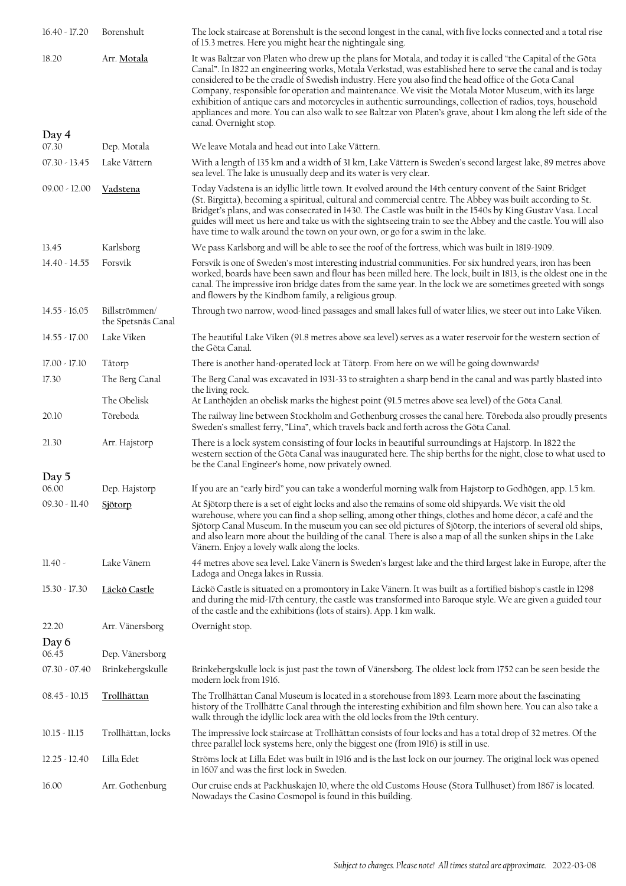| $16.40 - 17.20$ | Borenshult                          | The lock staircase at Borenshult is the second longest in the canal, with five locks connected and a total rise<br>of 15.3 metres. Here you might hear the nightingale sing.                                                                                                                                                                                                                                                                                                                                                                                                                                                                                                                            |
|-----------------|-------------------------------------|---------------------------------------------------------------------------------------------------------------------------------------------------------------------------------------------------------------------------------------------------------------------------------------------------------------------------------------------------------------------------------------------------------------------------------------------------------------------------------------------------------------------------------------------------------------------------------------------------------------------------------------------------------------------------------------------------------|
| 18.20           | Arr. Motala                         | It was Baltzar von Platen who drew up the plans for Motala, and today it is called "the Capital of the Göta<br>Canal". In 1822 an engineering works, Motala Verkstad, was established here to serve the canal and is today<br>considered to be the cradle of Swedish industry. Here you also find the head office of the Gota Canal<br>Company, responsible for operation and maintenance. We visit the Motala Motor Museum, with its large<br>exhibition of antique cars and motorcycles in authentic surroundings, collection of radios, toys, household<br>appliances and more. You can also walk to see Baltzar von Platen's grave, about 1 km along the left side of the<br>canal. Overnight stop. |
| Day 4<br>07.30  | Dep. Motala                         | We leave Motala and head out into Lake Vättern.                                                                                                                                                                                                                                                                                                                                                                                                                                                                                                                                                                                                                                                         |
| $07.30 - 13.45$ | Lake Vättern                        | With a length of 135 km and a width of 31 km, Lake Vättern is Sweden's second largest lake, 89 metres above                                                                                                                                                                                                                                                                                                                                                                                                                                                                                                                                                                                             |
|                 |                                     | sea level. The lake is unusually deep and its water is very clear.                                                                                                                                                                                                                                                                                                                                                                                                                                                                                                                                                                                                                                      |
| $09.00 - 12.00$ | <b>Vadstena</b>                     | Today Vadstena is an idyllic little town. It evolved around the 14th century convent of the Saint Bridget<br>(St. Birgitta), becoming a spiritual, cultural and commercial centre. The Abbey was built according to St.<br>Bridget's plans, and was consecrated in 1430. The Castle was built in the 1540s by King Gustav Vasa. Local<br>guides will meet us here and take us with the sightseeing train to see the Abbey and the castle. You will also<br>have time to walk around the town on your own, or go for a swim in the lake.                                                                                                                                                                 |
| 13.45           | Karlsborg                           | We pass Karlsborg and will be able to see the roof of the fortress, which was built in 1819-1909.                                                                                                                                                                                                                                                                                                                                                                                                                                                                                                                                                                                                       |
| $14.40 - 14.55$ | Forsvik                             | Forsvik is one of Sweden's most interesting industrial communities. For six hundred years, iron has been<br>worked, boards have been sawn and flour has been milled here. The lock, built in 1813, is the oldest one in the<br>canal. The impressive iron bridge dates from the same year. In the lock we are sometimes greeted with songs<br>and flowers by the Kindbom family, a religious group.                                                                                                                                                                                                                                                                                                     |
| $14.55 - 16.05$ | Billströmmen/<br>the Spetsnäs Canal | Through two narrow, wood-lined passages and small lakes full of water lilies, we steer out into Lake Viken.                                                                                                                                                                                                                                                                                                                                                                                                                                                                                                                                                                                             |
| $14.55 - 17.00$ | Lake Viken                          | The beautiful Lake Viken (91.8 metres above sea level) serves as a water reservoir for the western section of<br>the Göta Canal.                                                                                                                                                                                                                                                                                                                                                                                                                                                                                                                                                                        |
| 17.00 - 17.10   | Tåtorp                              | There is another hand-operated lock at Tåtorp. From here on we will be going downwards!                                                                                                                                                                                                                                                                                                                                                                                                                                                                                                                                                                                                                 |
| 17.30           | The Berg Canal                      | The Berg Canal was excavated in 1931-33 to straighten a sharp bend in the canal and was partly blasted into<br>the living rock.                                                                                                                                                                                                                                                                                                                                                                                                                                                                                                                                                                         |
|                 | The Obelisk                         | At Lanthöjden an obelisk marks the highest point (91.5 metres above sea level) of the Göta Canal.                                                                                                                                                                                                                                                                                                                                                                                                                                                                                                                                                                                                       |
| 20.10           | Töreboda                            | The railway line between Stockholm and Gothenburg crosses the canal here. Toreboda also proudly presents<br>Sweden's smallest ferry, "Lina", which travels back and forth across the Göta Canal.                                                                                                                                                                                                                                                                                                                                                                                                                                                                                                        |
| 21.30           | Arr. Hajstorp                       | There is a lock system consisting of four locks in beautiful surroundings at Hajstorp. In 1822 the<br>western section of the Göta Canal was inaugurated here. The ship berths for the night, close to what used to<br>be the Canal Engineer's home, now privately owned.                                                                                                                                                                                                                                                                                                                                                                                                                                |
| Day 5           |                                     |                                                                                                                                                                                                                                                                                                                                                                                                                                                                                                                                                                                                                                                                                                         |
| 06.00           | Dep. Hajstorp                       | If you are an "early bird" you can take a wonderful morning walk from Hajstorp to Godhögen, app. 1.5 km.                                                                                                                                                                                                                                                                                                                                                                                                                                                                                                                                                                                                |
| $09.30 - 11.40$ | Sjötorp                             | At Sjötorp there is a set of eight locks and also the remains of some old shipyards. We visit the old<br>warehouse, where you can find a shop selling, among other things, clothes and home décor, a café and the<br>Sjötorp Canal Museum. In the museum you can see old pictures of Sjötorp, the interiors of several old ships,<br>and also learn more about the building of the canal. There is also a map of all the sunken ships in the Lake<br>Vänern. Enjoy a lovely walk along the locks.                                                                                                                                                                                                       |
| $11.40 -$       | Lake Vänern                         | 44 metres above sea level. Lake Vänern is Sweden's largest lake and the third largest lake in Europe, after the<br>Ladoga and Onega lakes in Russia.                                                                                                                                                                                                                                                                                                                                                                                                                                                                                                                                                    |
| $15.30 - 17.30$ | <u> Läckö Castle</u>                | Läckö Castle is situated on a promontory in Lake Vänern. It was built as a fortified bishop's castle in 1298<br>and during the mid-17th century, the castle was transformed into Baroque style. We are given a guided tour<br>of the castle and the exhibitions (lots of stairs). App. 1 km walk.                                                                                                                                                                                                                                                                                                                                                                                                       |
| 22.20           | Arr. Vänersborg                     | Overnight stop.                                                                                                                                                                                                                                                                                                                                                                                                                                                                                                                                                                                                                                                                                         |
| Day 6<br>06.45  | Dep. Vänersborg                     |                                                                                                                                                                                                                                                                                                                                                                                                                                                                                                                                                                                                                                                                                                         |
| $07.30 - 07.40$ | Brinkebergskulle                    | Brinkebergskulle lock is just past the town of Vänersborg. The oldest lock from 1752 can be seen beside the                                                                                                                                                                                                                                                                                                                                                                                                                                                                                                                                                                                             |
|                 |                                     | modern lock from 1916.                                                                                                                                                                                                                                                                                                                                                                                                                                                                                                                                                                                                                                                                                  |
| $08.45 - 10.15$ | Trollhättan                         | The Trollhättan Canal Museum is located in a storehouse from 1893. Learn more about the fascinating<br>history of the Trollhätte Canal through the interesting exhibition and film shown here. You can also take a<br>walk through the idyllic lock area with the old locks from the 19th century.                                                                                                                                                                                                                                                                                                                                                                                                      |
| $10.15 - 11.15$ | Trollhättan, locks                  | The impressive lock staircase at Trollhättan consists of four locks and has a total drop of 32 metres. Of the<br>three parallel lock systems here, only the biggest one (from 1916) is still in use.                                                                                                                                                                                                                                                                                                                                                                                                                                                                                                    |
| $12.25 - 12.40$ | Lilla Edet                          | Ströms lock at Lilla Edet was built in 1916 and is the last lock on our journey. The original lock was opened<br>in 1607 and was the first lock in Sweden.                                                                                                                                                                                                                                                                                                                                                                                                                                                                                                                                              |
| 16.00           | Arr. Gothenburg                     | Our cruise ends at Packhuskajen 10, where the old Customs House (Stora Tullhuset) from 1867 is located.<br>Nowadays the Casino Cosmopol is found in this building.                                                                                                                                                                                                                                                                                                                                                                                                                                                                                                                                      |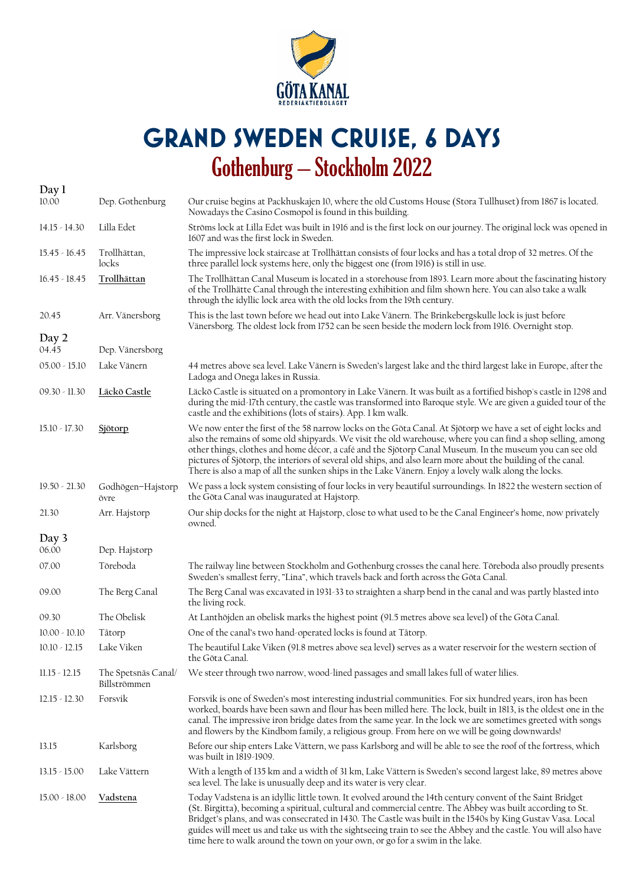

## **Grand Sweden Cruise, 6 days**  Gothenburg – Stockholm 2022

| Day 1           |                                     |                                                                                                                                                                                                                                                                                                                                                                                                                                                                                                                                                                   |
|-----------------|-------------------------------------|-------------------------------------------------------------------------------------------------------------------------------------------------------------------------------------------------------------------------------------------------------------------------------------------------------------------------------------------------------------------------------------------------------------------------------------------------------------------------------------------------------------------------------------------------------------------|
| 10.00           | Dep. Gothenburg                     | Our cruise begins at Packhuskajen 10, where the old Customs House (Stora Tullhuset) from 1867 is located.<br>Nowadays the Casino Cosmopol is found in this building.                                                                                                                                                                                                                                                                                                                                                                                              |
| $14.15 - 14.30$ | Lilla Edet                          | Ströms lock at Lilla Edet was built in 1916 and is the first lock on our journey. The original lock was opened in<br>1607 and was the first lock in Sweden.                                                                                                                                                                                                                                                                                                                                                                                                       |
| $15.45 - 16.45$ | Trollhättan,<br>locks               | The impressive lock staircase at Trollhättan consists of four locks and has a total drop of 32 metres. Of the<br>three parallel lock systems here, only the biggest one (from 1916) is still in use.                                                                                                                                                                                                                                                                                                                                                              |
| $16.45 - 18.45$ | Trollhättan                         | The Trollhättan Canal Museum is located in a storehouse from 1893. Learn more about the fascinating history<br>of the Trollhätte Canal through the interesting exhibition and film shown here. You can also take a walk<br>through the idyllic lock area with the old locks from the 19th century.                                                                                                                                                                                                                                                                |
| 20.45           | Arr. Vänersborg                     | This is the last town before we head out into Lake Vänern. The Brinkebergskulle lock is just before<br>Vänersborg. The oldest lock from 1752 can be seen beside the modern lock from 1916. Overnight stop.                                                                                                                                                                                                                                                                                                                                                        |
| Day 2<br>04.45  | Dep. Vänersborg                     |                                                                                                                                                                                                                                                                                                                                                                                                                                                                                                                                                                   |
| $05.00 - 15.10$ | Lake Vänern                         | 44 metres above sea level. Lake Vänern is Sweden's largest lake and the third largest lake in Europe, after the<br>Ladoga and Onega lakes in Russia.                                                                                                                                                                                                                                                                                                                                                                                                              |
| $09.30 - 11.30$ | Läckö Castle                        | Läckö Castle is situated on a promontory in Lake Vänern. It was built as a fortified bishop's castle in 1298 and<br>during the mid-17th century, the castle was transformed into Baroque style. We are given a guided tour of the<br>castle and the exhibitions (lots of stairs). App. 1 km walk.                                                                                                                                                                                                                                                                 |
| $15.10 - 17.30$ | Sjötorp                             | We now enter the first of the 58 narrow locks on the Göta Canal. At Sjötorp we have a set of eight locks and<br>also the remains of some old shipyards. We visit the old warehouse, where you can find a shop selling, among<br>other things, clothes and home décor, a café and the Sjötorp Canal Museum. In the museum you can see old<br>pictures of Sjötorp, the interiors of several old ships, and also learn more about the building of the canal.<br>There is also a map of all the sunken ships in the Lake Vänern. Enjoy a lovely walk along the locks. |
| $19.50 - 21.30$ | Godhögen-Hajstorp<br>övre           | We pass a lock system consisting of four locks in very beautiful surroundings. In 1822 the western section of<br>the Göta Canal was inaugurated at Hajstorp.                                                                                                                                                                                                                                                                                                                                                                                                      |
| 21.30           | Arr. Hajstorp                       | Our ship docks for the night at Hajstorp, close to what used to be the Canal Engineer's home, now privately<br>owned.                                                                                                                                                                                                                                                                                                                                                                                                                                             |
| Day 3           |                                     |                                                                                                                                                                                                                                                                                                                                                                                                                                                                                                                                                                   |
| 06.00           | Dep. Hajstorp                       |                                                                                                                                                                                                                                                                                                                                                                                                                                                                                                                                                                   |
| 07.00           | Toreboda                            | The railway line between Stockholm and Gothenburg crosses the canal here. Toreboda also proudly presents<br>Sweden's smallest ferry, "Lina", which travels back and forth across the Göta Canal.                                                                                                                                                                                                                                                                                                                                                                  |
| 09.00           | The Berg Canal                      | The Berg Canal was excavated in 1931-33 to straighten a sharp bend in the canal and was partly blasted into<br>the living rock.                                                                                                                                                                                                                                                                                                                                                                                                                                   |
| 09.30           | The Obelisk                         | At Lanthöjden an obelisk marks the highest point (91.5 metres above sea level) of the Göta Canal.                                                                                                                                                                                                                                                                                                                                                                                                                                                                 |
| $10.00 - 10.10$ | Tåtorp                              | One of the canal's two hand-operated locks is found at Tåtorp.                                                                                                                                                                                                                                                                                                                                                                                                                                                                                                    |
| $10.10 - 12.15$ | Lake Viken                          | The beautiful Lake Viken (91.8 metres above sea level) serves as a water reservoir for the western section of<br>the Göta Canal.                                                                                                                                                                                                                                                                                                                                                                                                                                  |
| $11.15 - 12.15$ | The Spetsnäs Canal/<br>Billströmmen | We steer through two narrow, wood-lined passages and small lakes full of water lilies.                                                                                                                                                                                                                                                                                                                                                                                                                                                                            |
| $12.15 - 12.30$ | Forsvik                             | Forsvik is one of Sweden's most interesting industrial communities. For six hundred years, iron has been<br>worked, boards have been sawn and flour has been milled here. The lock, built in 1813, is the oldest one in the<br>canal. The impressive iron bridge dates from the same year. In the lock we are sometimes greeted with songs<br>and flowers by the Kindbom family, a religious group. From here on we will be going downwards!                                                                                                                      |
| 13.15           | Karlsborg                           | Before our ship enters Lake Vättern, we pass Karlsborg and will be able to see the roof of the fortress, which<br>was built in 1819-1909.                                                                                                                                                                                                                                                                                                                                                                                                                         |
| $13.15 - 15.00$ | Lake Vättern                        | With a length of 135 km and a width of 31 km, Lake Vättern is Sweden's second largest lake, 89 metres above<br>sea level. The lake is unusually deep and its water is very clear.                                                                                                                                                                                                                                                                                                                                                                                 |
| $15.00 - 18.00$ | <b>Vadstena</b>                     | Today Vadstena is an idyllic little town. It evolved around the 14th century convent of the Saint Bridget<br>(St. Birgitta), becoming a spiritual, cultural and commercial centre. The Abbey was built according to St.<br>Bridget's plans, and was consecrated in 1430. The Castle was built in the 1540s by King Gustav Vasa. Local<br>guides will meet us and take us with the sightseeing train to see the Abbey and the castle. You will also have<br>time here to walk around the town on your own, or go for a swim in the lake.                           |